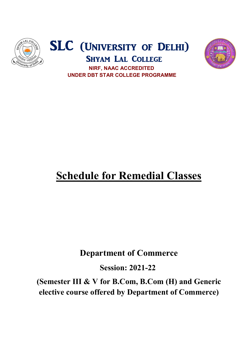





# UNDER DBT STAR COLLEGE PROGRAMME

## **Schedule for Remedial Classes**

## Department of Commerce Department of Commerce

Session: 2021-22

(Semester III & V for B.Com, B.Com (H) and Generic (Semester III & V for B.Com, B.Com (H) and Generic elective course offered by Department of Commerce)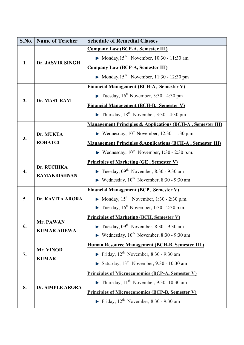| S.No.            | <b>Name of Teacher</b>             | <b>Schedule of Remedial Classes</b>                                       |
|------------------|------------------------------------|---------------------------------------------------------------------------|
| 1.               | Dr. JASVIR SINGH                   | <b>Company Law (BCP-A, Semester III)</b>                                  |
|                  |                                    | • Monday, $15^{\text{th}}$ November, 10:30 - 11:30 am                     |
|                  |                                    | <b>Company Law (BCP-A, Semester III)</b>                                  |
|                  |                                    | • Monday, $15^{th}$ November, 11:30 - 12:30 pm                            |
|                  | Dr. MAST RAM                       | <b>Financial Management (BCH-A, Semester V)</b>                           |
|                  |                                    | <b>Figure 1.5</b> Tuesday, $16^{th}$ November, 3:30 - 4:30 pm             |
| 2.               |                                    | <b>Financial Management (BCH-B, Semester V)</b>                           |
|                  |                                    | $\blacktriangleright$ Thursday, 18 <sup>th</sup> November, 3:30 - 4:30 pm |
|                  |                                    | <b>Management Principles &amp; Applications (BCH-A, Semester III)</b>     |
|                  | Dr. MUKTA<br><b>ROHATGI</b>        | E Wednesday, $10^{th}$ November, 12:30 - 1:30 p.m.                        |
| 3.               |                                    | <b>Management Principles &amp; Applications (BCH-A, Semester III)</b>     |
|                  |                                    | <b>•</b> Wednesday, $10^{th}$ November, 1:30 - 2:30 p.m.                  |
|                  | Dr. RUCHIKA<br><b>RAMAKRISHNAN</b> | <b>Principles of Marketing (GE, Semester V)</b>                           |
| $\overline{4}$ . |                                    | <b>Tuesday, 09<sup>th</sup></b> November, 8:30 - 9:30 am                  |
|                  |                                    | <b>•</b> Wednesday, $10^{th}$ November, 8:30 - 9:30 am                    |
|                  | Dr. KAVITA ARORA                   | <b>Financial Management (BCP, Semester V)</b>                             |
| 5.               |                                    | • Monday, $15^{th}$ November, 1:30 - 2:30 p.m.                            |
|                  |                                    | <b>Tuesday</b> , $16^{th}$ November, 1:30 - 2:30 p.m.                     |
|                  | Mr. PAWAN<br><b>KUMAR ADEWA</b>    | <b>Principles of Marketing (BCH, Semester V)</b>                          |
| 6.               |                                    | <b>Tuesday, 09<sup>th</sup></b> November, 8:30 - 9:30 am                  |
|                  |                                    | <b>•</b> Wednesday, $10^{th}$ November, 8:30 - 9:30 am                    |
|                  | Mr. VINOD<br><b>KUMAR</b>          | Human Resource Management (BCH-B, Semester III)                           |
| 7.               |                                    | Friday, $12^{th}$ November, 8:30 - 9:30 am                                |
|                  |                                    | Saturday, $13^{th}$ November, 9:30 - 10:30 am                             |
| 8.               | Dr. SIMPLE ARORA                   | <b>Principles of Microeconomics (BCP-A, Semester V)</b>                   |
|                  |                                    | $\blacktriangleright$ Thursday, 11 <sup>th</sup> November, 9:30 -10:30 am |
|                  |                                    | <b>Principles of Microeconomics (BCP-B, Semester V)</b>                   |
|                  |                                    | Friday, $12^{th}$ November, 8:30 - 9:30 am                                |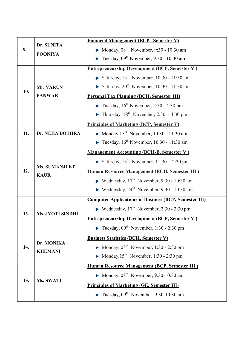| 9.  | Dr. SUNITA                          | <b>Financial Management (BCP, Semester V)</b>                             |
|-----|-------------------------------------|---------------------------------------------------------------------------|
|     | <b>POONIYA</b>                      | • Monday, $08^{\text{th}}$ November, 9:30 - 10:30 am                      |
|     |                                     | <b>Tuesday, 09<sup>th</sup></b> November, 9:30 - 10:30 am                 |
| 10. |                                     | <b>Entrepreneurship Development (BCP, Semester V)</b>                     |
|     |                                     | Saturday, $13^{th}$ November, 10:30 - 11:30 am                            |
|     | Mr. VARUN                           | Saturday, $20^{th}$ November, 10:30 - 11:30 am                            |
|     | <b>PANWAR</b>                       | <b>Personal Tax Planning (BCH, Semester III)</b>                          |
|     |                                     | $\blacktriangleright$ Tuesday, 16 <sup>th</sup> November, 2:30 - 4:30 pm  |
|     |                                     | $\blacktriangleright$ Thursday, 18 <sup>th</sup> November, 2:30 - 4:30 pm |
|     | Dr. NEHA BOTHRA                     | <b>Principles of Marketing (BCP, Semester V)</b>                          |
| 11. |                                     | Monday, $15^{th}$ November, 10:30 - 11:30 am                              |
|     |                                     | Tuesday, $16^{th}$ November, 10:30 - 11:30 am                             |
|     | <b>Ms. SUMANJEET</b><br><b>KAUR</b> | <b>Management Accounting (BCH-B, Semester V)</b>                          |
|     |                                     | Saturday, $13^{th}$ November, 11:30 -12:30 pm                             |
| 12. |                                     | <b>Human Resource Management (BCH, Semester III)</b>                      |
|     |                                     | <b>•</b> Wednesday, $17th$ November, 9:30 - 10:30 am                      |
|     |                                     | Wednesday, $24^{th}$ November, 9:30 - 10:30 am                            |
|     | <b>Ms. JYOTI SINDHU</b>             | <b>Computer Applications in Business (BCP, Semester III)</b>              |
|     |                                     | Wednesday, $17th$ November, 2:30 - 3:30 pm                                |
| 13. |                                     | <b>Entrepreneurship Development (BCP, Semester V)</b>                     |
|     |                                     | <b>Tuesday, 09<sup>th</sup></b> November, 1:30 - 2:30 pm                  |
|     | Dr. MONIKA<br><b>KHEMANI</b>        | <b>Business Statistics (BCH, Semester V)</b>                              |
| 14. |                                     | • Monday, $08^{\text{th}}$ November, 1:30 - 2:30 pm                       |
|     |                                     | • Monday, $15^{th}$ November, 1:30 - 2:30 pm                              |
|     | <b>Ms. SWATI</b>                    | <b>Human Resource Management (BCP, Semester III)</b>                      |
| 15. |                                     | • Monday, $08^{th}$ November, 9:30-10:30 am                               |
|     |                                     | <b>Principles of Marketing (GE, Semester III)</b>                         |
|     |                                     | <b>Tuesday</b> , $09^{th}$ November, 9:30-10:30 am                        |
|     |                                     |                                                                           |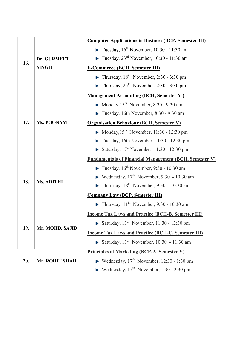|     |                   | <b>Computer Applications in Business (BCP, Semester III)</b>               |
|-----|-------------------|----------------------------------------------------------------------------|
| 16. |                   | <b>Tuesday</b> , $16^{th}$ November, 10:30 - 11:30 am                      |
|     | Dr. GURMEET       | $\blacktriangleright$ Tuesday, 23 <sup>rd</sup> November, 10:30 - 11:30 am |
|     | <b>SINGH</b>      | <b>E-Commerce (BCH, Semester III)</b>                                      |
|     |                   | • Thursday, $18^{th}$ November, 2:30 - 3:30 pm                             |
|     |                   | Thursday, $25^{th}$ November, 2:30 - 3:30 pm                               |
|     |                   | <b>Management Accounting (BCH, Semester V)</b>                             |
| 17. |                   | Monday, $15^{th}$ November, 8:30 - 9:30 am                                 |
|     |                   | $\blacktriangleright$ Tuesday, 16th November, 8:30 - 9:30 am               |
|     | Ms. POONAM        | <b>Organisation Behaviour (BCH, Semester V)</b>                            |
|     |                   | Monday, $15^{th}$ November, 11:30 - 12:30 pm                               |
|     |                   | $\blacktriangleright$ Tuesday, 16th November, 11:30 - 12:30 pm             |
|     |                   | Saturday, $17^{\text{th}}$ November, 11:30 - 12:30 pm                      |
|     |                   | <b>Fundamentals of Financial Management (BCH, Semester V)</b>              |
|     |                   | <b>Figure 10.30</b> Tuesday, $16^{th}$ November, 9:30 - 10:30 am           |
|     | <b>Ms. ADITHI</b> | Wednesday, $17th$ November, 9:30 - 10:30 am                                |
| 18. |                   | $\blacktriangleright$ Thursday, 18 <sup>th</sup> November, 9:30 - 10:30 am |
|     |                   | <b>Company Law (BCP, Semester III)</b>                                     |
|     |                   | $\blacktriangleright$ Thursday, 11 <sup>th</sup> November, 9:30 - 10:30 am |
|     | Mr. MOHD. SAJID   | <b>Income Tax Laws and Practice (BCH-B, Semester III)</b>                  |
|     |                   | Saturday, $13^{th}$ November, 11:30 - 12:30 pm                             |
| 19. |                   | <b>Income Tax Laws and Practice (BCH-C, Semester III)</b>                  |
|     |                   | Saturday, $13^{th}$ November, 10:30 - 11:30 am                             |
|     |                   |                                                                            |
|     |                   | <b>Principles of Marketing (BCP-A, Semester V)</b>                         |
| 20. | Mr. ROHIT SHAH    | <b>•</b> Wednesday, $17th$ November, 12:30 - 1:30 pm                       |